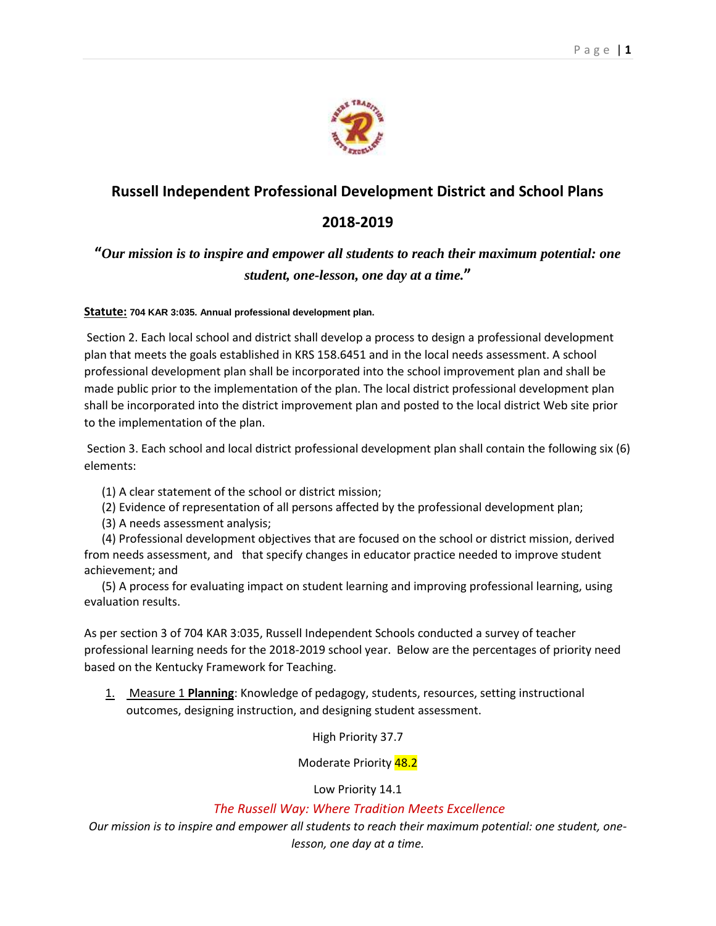## **Russell Independent Professional Development District and School Plans**

## **2018-2019**

**"***Our mission is to inspire and empower all students to reach their maximum potential: one student, one-lesson, one day at a time.***"**

## **Statute: 704 KAR 3:035. Annual professional development plan.**

Section 2. Each local school and district shall develop a process to design a professional development plan that meets the goals established in KRS 158.6451 and in the local needs assessment. A school professional development plan shall be incorporated into the school improvement plan and shall be made public prior to the implementation of the plan. The local district professional development plan shall be incorporated into the district improvement plan and posted to the local district Web site prior to the implementation of the plan.

Section 3. Each school and local district professional development plan shall contain the following six (6) elements:

- (1) A clear statement of the school or district mission;
- (2) Evidence of representation of all persons affected by the professional development plan;
- (3) A needs assessment analysis;

 (4) Professional development objectives that are focused on the school or district mission, derived from needs assessment, and that specify changes in educator practice needed to improve student achievement; and

 (5) A process for evaluating impact on student learning and improving professional learning, using evaluation results.

As per section 3 of 704 KAR 3:035, Russell Independent Schools conducted a survey of teacher professional learning needs for the 2018-2019 school year. Below are the percentages of priority need based on the Kentucky Framework for Teaching.

1. Measure 1 **Planning**: Knowledge of pedagogy, students, resources, setting instructional outcomes, designing instruction, and designing student assessment.

High Priority 37.7

Moderate Priority 48.2

Low Priority 14.1

## *The Russell Way: Where Tradition Meets Excellence*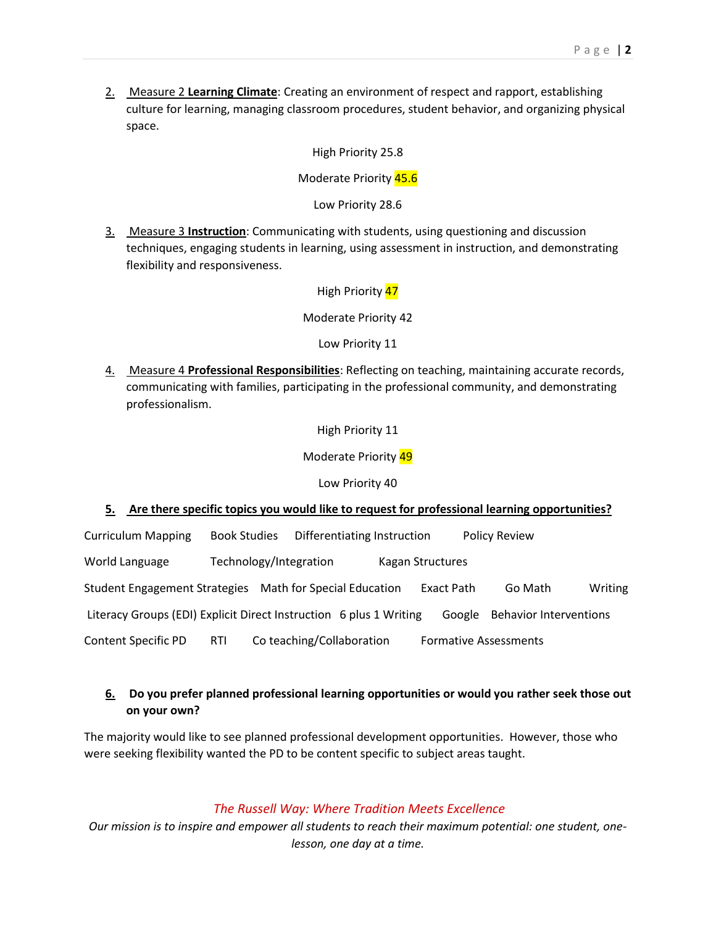2. Measure 2 **Learning Climate**: Creating an environment of respect and rapport, establishing culture for learning, managing classroom procedures, student behavior, and organizing physical space.

High Priority 25.8

Moderate Priority 45.6

Low Priority 28.6

3. Measure 3 **Instruction**: Communicating with students, using questioning and discussion techniques, engaging students in learning, using assessment in instruction, and demonstrating flexibility and responsiveness.

High Priority 47

Moderate Priority 42

Low Priority 11

4. Measure 4 **Professional Responsibilities**: Reflecting on teaching, maintaining accurate records, communicating with families, participating in the professional community, and demonstrating professionalism.

High Priority 11

Moderate Priority 49

Low Priority 40

#### **5. Are there specific topics you would like to request for professional learning opportunities?**

Curriculum Mapping Book Studies Differentiating Instruction Policy Review World Language Technology/Integration Kagan Structures Student Engagement Strategies Math for Special Education Exact Path Go Math Writing Literacy Groups (EDI) Explicit Direct Instruction 6 plus 1 Writing Google Behavior Interventions Content Specific PD RTI Co teaching/Collaboration Formative Assessments

### **6. Do you prefer planned professional learning opportunities or would you rather seek those out on your own?**

The majority would like to see planned professional development opportunities. However, those who were seeking flexibility wanted the PD to be content specific to subject areas taught.

#### *The Russell Way: Where Tradition Meets Excellence*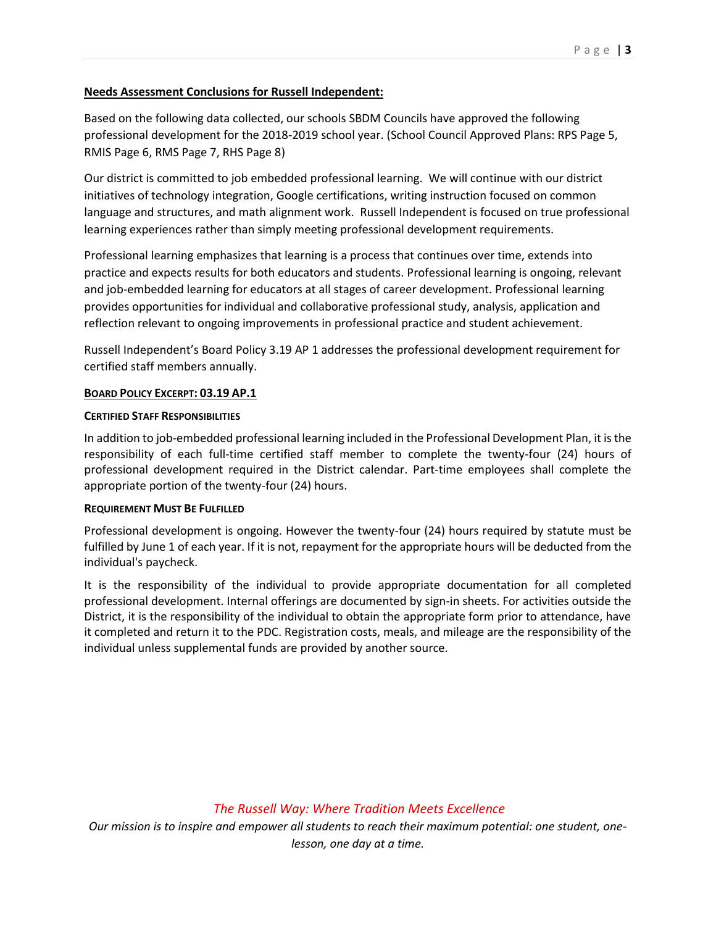#### **Needs Assessment Conclusions for Russell Independent:**

Based on the following data collected, our schools SBDM Councils have approved the following professional development for the 2018-2019 school year. (School Council Approved Plans: RPS Page 5, RMIS Page 6, RMS Page 7, RHS Page 8)

Our district is committed to job embedded professional learning. We will continue with our district initiatives of technology integration, Google certifications, writing instruction focused on common language and structures, and math alignment work. Russell Independent is focused on true professional learning experiences rather than simply meeting professional development requirements.

Professional learning emphasizes that learning is a process that continues over time, extends into practice and expects results for both educators and students. Professional learning is ongoing, relevant and job-embedded learning for educators at all stages of career development. Professional learning provides opportunities for individual and collaborative professional study, analysis, application and reflection relevant to ongoing improvements in professional practice and student achievement.

Russell Independent's Board Policy 3.19 AP 1 addresses the professional development requirement for certified staff members annually.

#### **BOARD POLICY EXCERPT: 03.19 AP.1**

#### **CERTIFIED STAFF RESPONSIBILITIES**

In addition to job-embedded professional learning included in the Professional Development Plan, it is the responsibility of each full-time certified staff member to complete the twenty-four (24) hours of professional development required in the District calendar. Part-time employees shall complete the appropriate portion of the twenty-four (24) hours.

#### **REQUIREMENT MUST BE FULFILLED**

Professional development is ongoing. However the twenty-four (24) hours required by statute must be fulfilled by June 1 of each year. If it is not, repayment for the appropriate hours will be deducted from the individual's paycheck.

It is the responsibility of the individual to provide appropriate documentation for all completed professional development. Internal offerings are documented by sign-in sheets. For activities outside the District, it is the responsibility of the individual to obtain the appropriate form prior to attendance, have it completed and return it to the PDC. Registration costs, meals, and mileage are the responsibility of the individual unless supplemental funds are provided by another source.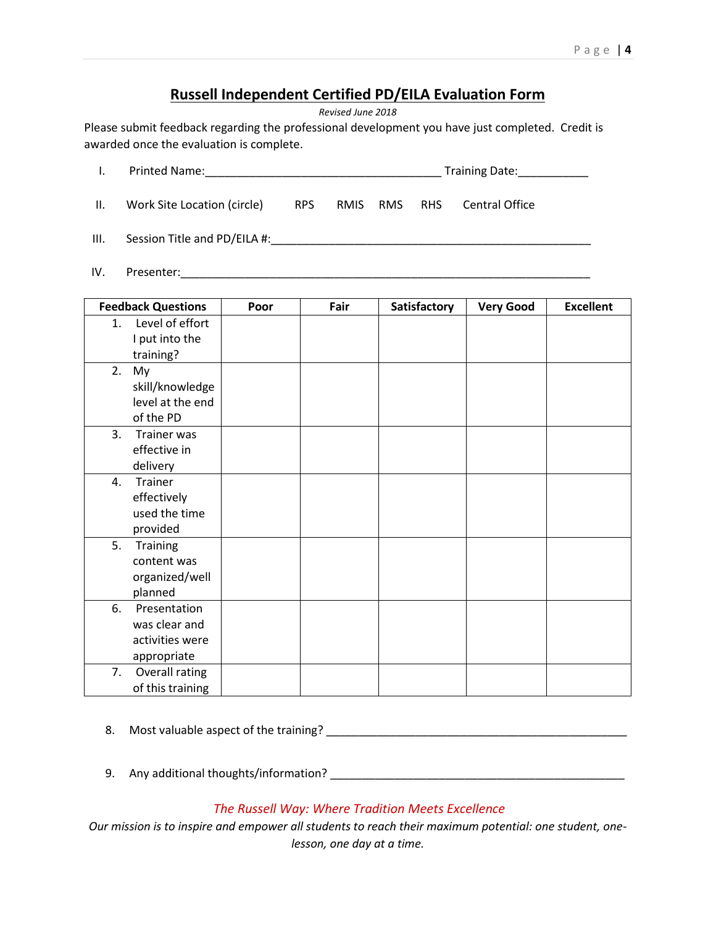## **Russell Independent Certified PD/EILA Evaluation Form**

*Revised June 2018*

Please submit feedback regarding the professional development you have just completed. Credit is awarded once the evaluation is complete.

|      |                                                           |     |              | Training Date:____________ |                       |  |
|------|-----------------------------------------------------------|-----|--------------|----------------------------|-----------------------|--|
| II.  | Work Site Location (circle)                               | RPS | RMIS RMS RHS |                            | <b>Central Office</b> |  |
| III. | Session Title and PD/EILA #: Session Title and PD/EILA #: |     |              |                            |                       |  |
| IV.  | Presenter:                                                |     |              |                            |                       |  |

| <b>Feedback Questions</b>                                             | Poor | Fair | Satisfactory | <b>Very Good</b> | <b>Excellent</b> |
|-----------------------------------------------------------------------|------|------|--------------|------------------|------------------|
| Level of effort<br>1.<br>I put into the<br>training?                  |      |      |              |                  |                  |
| 2.<br>My<br>skill/knowledge<br>level at the end<br>of the PD          |      |      |              |                  |                  |
| 3.<br>Trainer was<br>effective in<br>delivery                         |      |      |              |                  |                  |
| Trainer<br>4.<br>effectively<br>used the time<br>provided             |      |      |              |                  |                  |
| 5.<br><b>Training</b><br>content was<br>organized/well<br>planned     |      |      |              |                  |                  |
| 6.<br>Presentation<br>was clear and<br>activities were<br>appropriate |      |      |              |                  |                  |
| 7.<br>Overall rating<br>of this training                              |      |      |              |                  |                  |

- 8. Most valuable aspect of the training? \_\_\_\_\_\_\_\_\_\_\_\_\_\_\_\_\_\_\_\_\_\_\_\_\_\_\_\_\_\_\_\_\_\_\_\_\_\_\_\_\_\_\_\_\_\_\_
- 9. Any additional thoughts/information? \_\_\_\_\_\_\_\_\_\_\_\_\_\_\_\_\_\_\_\_\_\_\_\_\_\_\_\_\_\_\_\_\_\_\_\_\_\_\_\_\_\_\_\_\_\_

## *The Russell Way: Where Tradition Meets Excellence*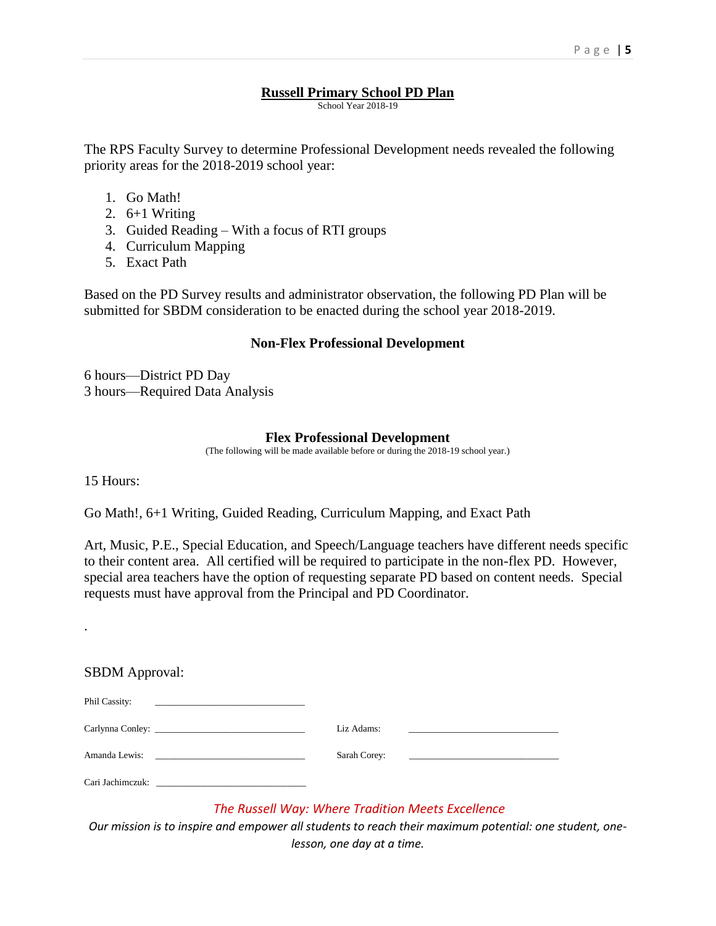#### **Russell Primary School PD Plan**

School Year 2018-19

The RPS Faculty Survey to determine Professional Development needs revealed the following priority areas for the 2018-2019 school year:

- 1. Go Math!
- 2. 6+1 Writing
- 3. Guided Reading With a focus of RTI groups
- 4. Curriculum Mapping
- 5. Exact Path

Based on the PD Survey results and administrator observation, the following PD Plan will be submitted for SBDM consideration to be enacted during the school year 2018-2019.

#### **Non-Flex Professional Development**

6 hours—District PD Day 3 hours—Required Data Analysis

### **Flex Professional Development**

(The following will be made available before or during the 2018-19 school year.)

15 Hours:

.

Go Math!, 6+1 Writing, Guided Reading, Curriculum Mapping, and Exact Path

Art, Music, P.E., Special Education, and Speech/Language teachers have different needs specific to their content area. All certified will be required to participate in the non-flex PD. However, special area teachers have the option of requesting separate PD based on content needs. Special requests must have approval from the Principal and PD Coordinator.

#### SBDM Approval:

| Phil Cassity:    |                                                                            |            |                                                   |
|------------------|----------------------------------------------------------------------------|------------|---------------------------------------------------|
|                  |                                                                            | Liz Adams: |                                                   |
| Amanda Lewis:    | the control of the control of the control of the control of the control of |            | Sarah Corey: 2008. Example 2008. The Sarah Corey: |
| Cari Jachimezuk: |                                                                            |            |                                                   |

## *The Russell Way: Where Tradition Meets Excellence*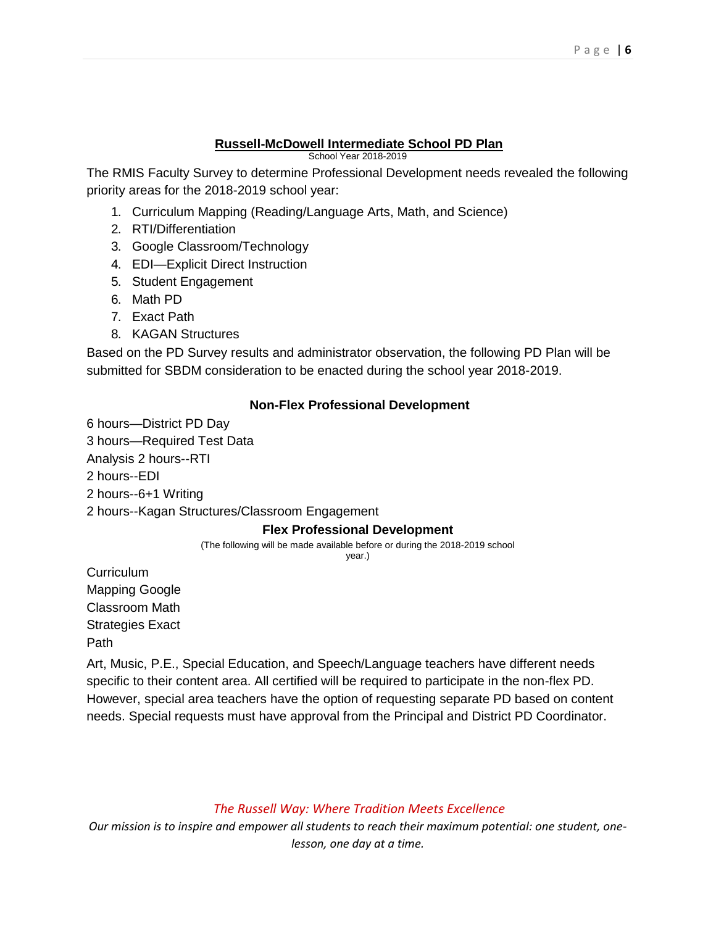## **Russell-McDowell Intermediate School PD Plan**

School Year 2018-2019

The RMIS Faculty Survey to determine Professional Development needs revealed the following priority areas for the 2018-2019 school year:

- 1. Curriculum Mapping (Reading/Language Arts, Math, and Science)
- 2. RTI/Differentiation
- 3. Google Classroom/Technology
- 4. EDI—Explicit Direct Instruction
- 5. Student Engagement
- 6. Math PD
- 7. Exact Path
- 8. KAGAN Structures

Based on the PD Survey results and administrator observation, the following PD Plan will be submitted for SBDM consideration to be enacted during the school year 2018-2019.

## **Non-Flex Professional Development**

6 hours—District PD Day 3 hours—Required Test Data Analysis 2 hours--RTI 2 hours--EDI 2 hours--6+1 Writing 2 hours--Kagan Structures/Classroom Engagement

## **Flex Professional Development**

(The following will be made available before or during the 2018-2019 school year.)

**Curriculum** Mapping Google Classroom Math Strategies Exact Path

Art, Music, P.E., Special Education, and Speech/Language teachers have different needs specific to their content area. All certified will be required to participate in the non-flex PD. However, special area teachers have the option of requesting separate PD based on content needs. Special requests must have approval from the Principal and District PD Coordinator.

*The Russell Way: Where Tradition Meets Excellence*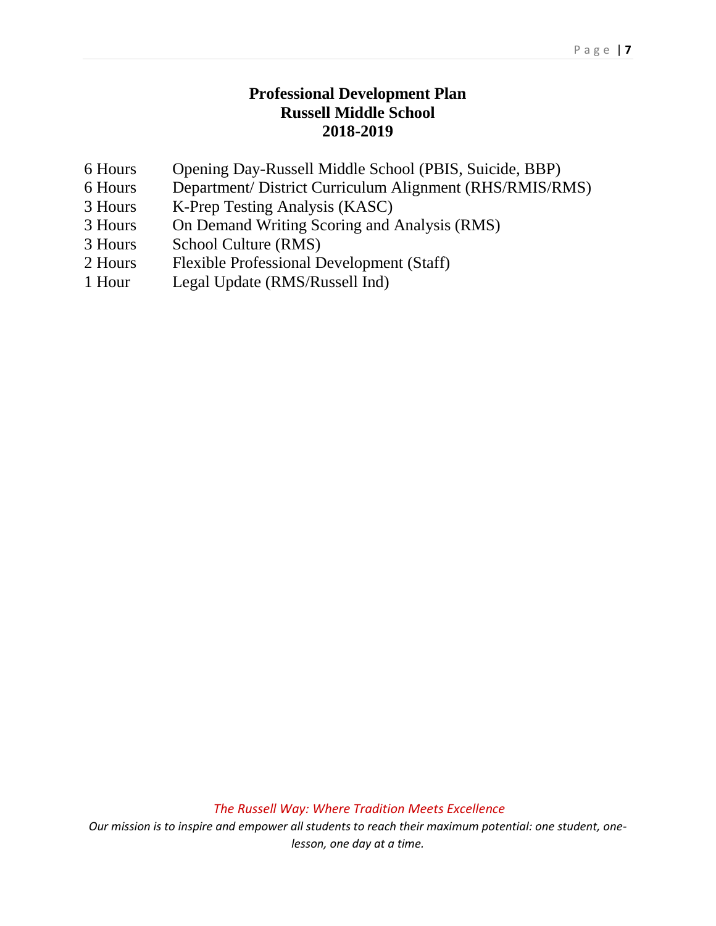## **Professional Development Plan Russell Middle School 2018-2019**

- 6 Hours Opening Day-Russell Middle School (PBIS, Suicide, BBP)
- 6 Hours Department/ District Curriculum Alignment (RHS/RMIS/RMS)
- 3 Hours K-Prep Testing Analysis (KASC)
- 3 Hours On Demand Writing Scoring and Analysis (RMS)
- 3 Hours School Culture (RMS)
- 2 Hours Flexible Professional Development (Staff)
- 1 Hour Legal Update (RMS/Russell Ind)